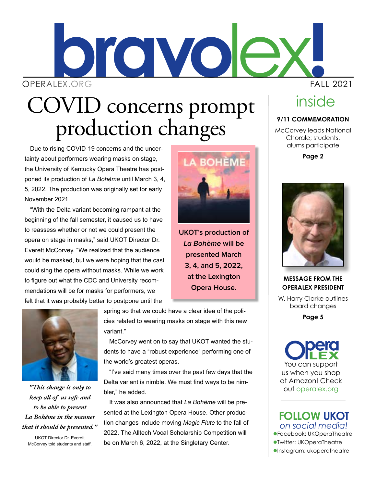# lex**! bravo** OPERALEX.ORG FALL 2021

# COVID concerns prompt<br>production changes

Due to rising COVID-19 concerns and the uncertainty about performers wearing masks on stage, the University of Kentucky Opera Theatre has postponed its production of *La Bohème* until March 3, 4, 5, 2022. The production was originally set for early November 2021.

"With the Delta variant becoming rampant at the beginning of the fall semester, it caused us to have to reassess whether or not we could present the opera on stage in masks," said UKOT Director Dr. Everett McCorvey. "We realized that the audience would be masked, but we were hoping that the cast could sing the opera without masks. While we work to figure out what the CDC and University recommendations will be for masks for performers, we felt that it was probably better to postpone until the



*"This change is only to keep all of us safe and to be able to present La Bohème in the manner that it should be presented."*

UKOT Director Dr. Everett McCorvey told students and staff. spring so that we could have a clear idea of the policies related to wearing masks on stage with this new variant."

McCorvey went on to say that UKOT wanted the students to have a "robust experience" performing one of the world's greatest operas.

"I've said many times over the past few days that the Delta variant is nimble. We must find ways to be nimbler," he added.

It was also announced that *La Bohème* will be presented at the Lexington Opera House. Other production changes include moving *Magic Flute* to the fall of 2022. The Alltech Vocal Scholarship Competition will be on March 6, 2022, at the Singletary Center.



**UKOT's production of**  *La Bohème* **will be presented March 3, 4, and 5, 2022, at the Lexington Opera House.**

**MESSAGE FROM THE OPERALEX PRESIDENT**

**9/11 COMMEMORATION** McCorvey leads National Chorale; students, alums participate **Page 2**

inside

W. Harry Clarke outlines board changes

**Page 5**

You can support us when you shop at Amazon! Check out operalex.org

lFacebook: UKOperaTheatre lTwitter: UKOperaTheatre *on social media!* **FOLLOW UKOT**

 $\bullet$ Instagram: ukoperatheatre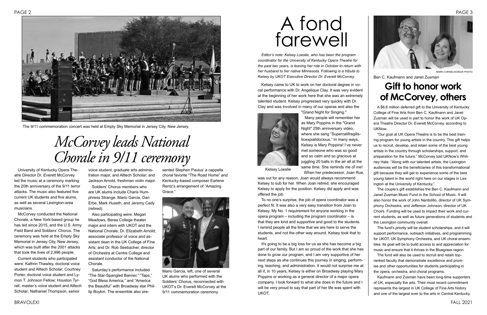University of Kentucky Opera Theatre Director Dr. Everett McCorvey led the music at a ceremony marking the 20th anniversary of the 9/11 terror attacks. The music also featured five current UK students and five alums, as well as several Lexington-area musicians.

McCorvey conducted the National Chorale, a New York-based group he has led since 2015, and the U.S. Army Field Band and Soldiers' Chorus. The ceremony was held at the Empty Sky Memorial in Jersey City, New Jersey, which was built after the 2001 attacks that took the lives of 2,996 people.

Current students who participated were: Kathrin Thawley, doctoral voice student and Alltech Scholar; Courtney Porter, doctoral voice student and Lymon T. Johnson Fellow; Houston Tyrrell, master's voice student and Alltech Scholar; Nathaniel Thompson, senior

voice student, graduate arts administration major, and Alltech Scholar; and Jackson Arnold, freshman violin major.

Soldiers' Chorus members who are UK alums include Charis Humphress Strange, Mario Garcia, Dan Erbe, Mark Huseth, and Jeremy Cady (retired).

Also participating were: Megan Meadows, Berea College theater major and intern with UKOT and the National Chorale; Dr. Elizabeth Arnold; associate professor of voice and assistant dean in the UK College of Fine Arts; and Dr. Rob Seebacher, director of Orchestra at Centre College and assistant conductor of the National Chorale.

Saturday's performance included "The Star-Spangled Banner," "Taps," "God Bless America," and "America the Beautiful" with Broadway star Phillip Boykin. The ensemble also pre-

sented Stephen Paulus' a cappella choral favorite "The Road Home" and Kentucky-based composer Earlene Rentz's arrangement of "Amazing Grace."



The 9/11 commemoration concert was held at Empty Sky Memorial in Jersey City, New Jersey.

# *McCorvey leads National Chorale in 9/11 ceremony*



Mario Garcia, left, one of several UK alums who performed with the Soldiers' Chorus, reconnected with UKOT's Dr. Everett McCorvey at the 9/11 commemoration ceremony.

*Editor's note: Kelsey Loeslie, who has been the program coordinator for the University of Kentucky Opera Theatre for the past two years, is leaving her role in October to return with her husband to her native Minnesota. Following is a tribute to Kelsey by UKOT Executive Director Dr. Everett McCorvey.*

Kelsey came to UK to work on her doctoral degree in vocal performance with Dr. Angelique Clay. It was very evident at the beginning of her work here that she was an extremely talented student. Kelsey progressed very quickly with Dr. Clay and was involved in many of our operas and also the

"Grand Night for Singing."



Many people will remember her as Mary Poppins in the "Grand Night" 25th anniversary video, where she sang "Supercalifragilisticexpialidocious." In many ways, Kelsey is Mary Poppins! I've never met someone who was so good and so calm and so gracious at juggling 20 balls in the air all at the same time. She reminds me of me! When her predecessor, Joan Rue,

### PAGE 2 PAGE 3 A fond farewell

was out for any reason, Joan would always recommend Kelsey to sub for her. When Joan retired, she encouraged Kelsey to apply for the position. Kelsey did apply and was offered the job.

To no one's surprise, the job of opera coordinator was a perfect fit. It was also a very easy transition from Joan to Kelsey. My No. 1 requirement for anyone working in the opera program – including the program coordinator – is that they are kind and supportive and good to the students. I remind people all the time that we are here to serve the students, and not the other way around. Kelsey took that to heart.

It's going to be a big loss for us as she has become a big part of our family. But I am so proud of the work that she has done to grow our program, and I am very supportive of her next steps as she continues this journey in singing, performing, teaching, and administration. It would not surprise me at all if, in 10 years, Kelsey is either on Broadway playing Mary Poppins or working as a general director of a major opera company. I look forward to what she does in the future and I will be very proud to say that part of her life was spent with UKOT.

A \$6.6 million deferred gift to the University of Kentucky College of Fine Arts from Ben C. Kaufmann and Janet Zusman will be used in part to honor the work of UK Opera Theatre Director Dr. Everett McCorvey, according to UKNow.

"Our goal at UK Opera Theatre is to be the best training program for young artists in the country. This gift helps us to recruit, develop, and retain some of the best young artists in the country through scholarships, support, and preparation for the future," McCorvey told UKNow's Whitney Hale. "Along with our talented artists, the Lexington audiences will be the beneficiaries of this transformational gift because they will get to experience some of the best young talent in the world right here on our stages in Lexington at the University of Kentucky."

The couple's gift establishes the Ben C. Kaufmann and Janet Zusman Music Fund in the School of Music. It will also honor the work of John Nardolillo, director of UK Symphony Orchestra, and Jefferson Johnson, director of UK Choirs. Funding will be used to impact their work and current students, as well as future generations of students and the Lexington community overall.

The fund's priority will be student scholarships, and it will support performance, outreach initiatives, and programming for UKOT, UK Symphony Orchestra, and UK choral ensembles. Its goal will be to build access to and appreciation for music and ensure that it thrives in the Bluegrass region.

The fund will also be used to recruit and retain topranked faculty that demonstrate excellence and promise and other opportunities for students participating in the opera, orchestra, and choral programs.

Kaufmann and Zusman have been long-time supporters of UK, especially the arts. Their most recent commitment represents the largest in UK College of Fine Arts history and one of the largest ever to the arts in Central Kentucky.

### **Gift to honor work of McCorvey, others**

Kelsey Loeslie



Ben C. Kaufmann and Janet Zusman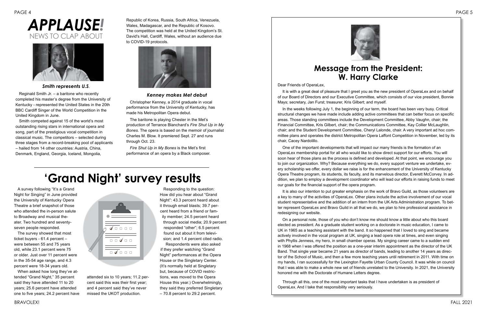Dear Friends of OperaLex,

It is with a great deal of pleasure that I greet you as the new president of OperaLex and on behalf of our Board of Directors and our Executive Committee, which consists of our vice president, Bonnie Mays; secretary, Jan Furst; treasurer, Kris Gilbert; and myself.

In the weeks following July 1, the beginning of our term, the board has been very busy. Critical structural changes we have made include adding active committees that can better focus on specific areas. Those standing committees include the Development Committee, Abby Vaughn, chair; the Financial Committee, Kris Gilbert, chair; the Communications Committee, Kay Collier McLaughlin, chair; and the Student Development Committee, Cheryl Lalonde, chair. A very important ad hoc committee plans and operates the district Metropolitan Opera Laffont Competition in November, led by its chair, Cacey Nardolillo.

One of the important developments that will impact our many friends is the formation of an OperaLex membership portal for all who would like to show direct support for our efforts. You will soon hear of those plans as the process is defined and developed. At that point, we encourage you to join our organization. Why? Because everything we do, every support venture we undertake, every scholarship we offer, every dollar we raise is for the enhancement of the University of Kentucky Opera Theatre program, its students, its faculty, and its marvelous director, Everett McCorvey. In addition, we plan to employ a development coordinator who will lead our efforts in raising funds to meet our goals for the financial support of the opera program.

It is also our intention to put greater emphasis on the work of Bravo Guild, as those volunteers are a key to many of the activities of OperaLex. Other plans include the active involvement of our vocal student representative and the addition of an intern from the UK Arts Administration program. To better represent OperaLex and Bravo Guild in all that we do, we plan to hire professional assistance in redesigning our website.

On a personal note, those of you who don't know me should know a little about who this board elected as president. As a graduate student working on a doctorate in music education, I came to UK in 1965 as a teaching assistant with the band. It so happened that I loved to sing and became actively involved in the vocal program at UK, singing a lead opera role at times, and even singing with Phyllis Jenness, my hero, in small chamber operas. My singing career came to a sudden end in 1968 when I was offered the position as a one-year interim appointment as the director of the UK Band. That single year became 21 years as director of bands, leading to another 14 years as director of the School of Music, and then a few more teaching years until retirement in 2011. With time on my hands, I ran successfully for the Lexington Fayette Urban County Council. It was while on council that I was able to make a whole new set of friends unrelated to the University. In 2021, the University honored me with the Doctorate of Humane Letters degree.

Through all this, one of the most important tasks that I have undertaken is as president of OperaLex. And I take that responsibility very seriously.

#### **Message from the President: W. Harry Clarke**

## **'Grand Night' survey results**

*Smith represents U.S*.

Reginald Smith Jr. – a baritone who recently completed his master's degree from the University of Kentucky - represented the United States in the 20th BBC Cardiff Singer of the World Competition in the United Kingdom in June.

Smith competed against 15 of the world's most outstanding rising stars in international opera and song, part of the prestigious vocal competition in classical music. The competitors – selected during three stages from a record-breaking pool of applicants – hailed from 14 other countries: Austria, China, Denmark, England, Georgia, Iceland, Mongolia,

Republic of Korea, Russia, South Africa, Venezuela, Wales, Madagascar, and the Republic of Kosovo. The competition was held at the United Kingdom's St. David's Hall, Cardiff, Wales, without an audience due to COVID-19 protocols.



#### *Kenney makes Met debut*

Christopher Kenney, a 2014 graduate in vocal performance from the University of Kentucky, has made his Metropolitan Opera debut.

The baritone is playing Chester in the Met's production of Terrance Blanchard's *Fire Shut Up in My Bones*. The opera is based on the memoir of journalist Charles M. Blow. It premiered Sept. 27 and runs through Oct. 23.

*Fire Shut Up in My Bones* is the Met's first performance of an opera by a Black composer.

### *APPLAUSE!* NEWS TO CLAP ABOUT



A survey following "It's a Grand Night for Singing" in June provided the University of Kentucky Opera Theatre a brief snapshot of those who attended the in-person salute to Broadway and musical theater. Two hundred and seventyseven people responded.

The survey showed that most ticket buyers - 61.4 percent – were between 55 and 75 years old, while 23.1 percent were 75 or older. Just over 11 percent were in the 35-54 age range, and 4.3 percent were 18-34 years old.

When asked how long they've attended "Grand Night," 35 percent said they have attended 11 to 20 years; 25.6 percent have attended one to five years; 24.2 percent have



attended six to 10 years; 11.2 percent said this was their first year; and 4 percent said they've never missed the UKOT production.

Responding to the question: How did you hear about "Grand Night": 43.3 percent heard about it through email blasts; 39.7 percent heard from a friend or family member; 24.5 percent heard through social media; 20.9 percent responded "other"; 6.5 percent found out about it from television; and 1.4 percent cited radio.

Respondents were also asked if they prefer watching "Grand Night" performances at the Opera House or the Singletary Center. (It's normally held at Singletary but, because of COVID restrictions, was moved to the Opera House this year.) Overwhelmingly, they said they preferred Singletary – 70.8 percent to 29.2 percent.

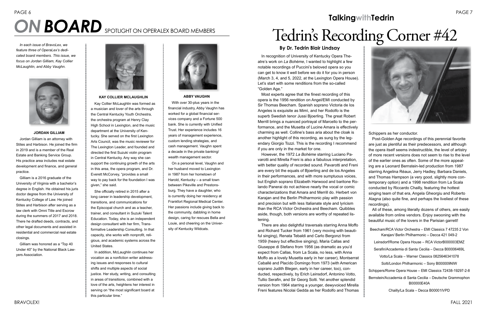# PAGE 6 PAGE 7 **ON BOARD** SPOTLIGHT ON OPERALEX BOARD MEMBERS **Tedrin's Recording Corner #42**

**ABBY VAUGHN**

With over 30-plus years in the financial industry, Abby Vaughn has worked for a global financial services company and a Fortune 500 bank. She is currently with Unified Trust. Her experience includes 16 years of management experience, custom lending strategies, and cash management. Vaughn spent a decade in the private banking/ wealth management sector.

On a personal level, Vaughn and her husband moved to Lexington in 1987 from her hometown of Harold, Kentucky – a small town between Pikeville and Prestonsburg. They have a daughter, who is currently doing her residency at Frankfort Regional Medical Center. Her passions include giving back to the community, dabbling in home design, caring for rescues Bella and Louie, and cheering on the University of Kentucky Wildcats.



Kay Collier McLaughlin was formed as a musician and lover of the arts through the Central Kentucky Youth Orchestra, the orchestra program at Henry Clay High School in Lexington, and the music department at the University of Kentucky. She served on the first Lexington Arts Council, was the music reviewer for The Lexington Leader, and founded and directed the first Suzuki violin program in Central Kentucky. Any way she can support the continuing growth of the arts in this area, the opera program, and Dr. Everett McCorvey, "provides a small way to pay back for the foundation I was given," she said.

She officially retired in 2015 after a long career in leadership development, transitions, and communications for the Episcopal church and as a teacher, trainer, and consultant in Suzuki Talent Education. Today, she is an independent design consultant with her firm, Transformative Leadership Consulting. In that capacity, she works with nonprofit, religious, and academic systems across the United States.

In addition, McLaughlin continues her vocation as a nonfiction writer addressing issues and responses to cultural shifts and multiple aspects of social justice. Her study, writing, and consulting in areas of transitions, combined with a love of the arts, heightens her interest in serving on "the most significant board at this particular time."



### **TalkingwithTedrin**



In recognition of University of Kentucky Opera Theatre's work on *La Bohème*, I wanted to highlight a few notable recordings of Puccini's beloved opera so you can get to know it well before we do it for you in person (March 3, 4, and 5, 2022, at the Lexington Opera House). Let's start with some renditions from the so-called "Golden Age."

Most experts agree that the finest recording of this opera is the 1956 rendition on Angel/EMI conducted by Sir Thomas Beecham. Spanish soprano Victoria de los Angeles is exquisite as Mimì, and her Rodolfo is the superb Swedish tenor Jussi Bjoerling. The great Robert Merrill brings a nuanced portrayal of Marcello to the performance, and the Musetta of Lucine Amara is effectively charming as well. Colline's bass aria about the cloak is another highlight of this recording, as sung by the legendary Giorgio Tozzi. This is the recording I recommend if you are only in the market for one.

However, the 1972 *La Bohème* starring Luciano Pavarotti and Mirella Freni is also a fabulous interpretation, with better quality of recorded sound. Pavarotti and Freni are every bit the equals of Bjoerling and de los Angeles in their performances, and with more sumptuous voices, but English soprano Elizabeth Harwood and baritone Rolando Panerai do not achieve nearly the vocal or comic characterizations that Amara and Merrill do. Herbert von Karajan and the Berlin Philharmonic play with passion and precision but with less Italianate style and lyricism than the RCA Victor Orchestra and Beecham. Quibbles aside, though, both versions are worthy of repeated listening.

There are also delightful traversals starring Anna Moffo and Richard Tucker from 1961 (very moving with beautiful singing), Renata Tebaldi and Carlo Bergonzi from 1959 (heavy but effective singing), Maria Callas and Giuseppe di Stefano from 1956 (as dramatic as you'd expect from Callas, from La Scala, no less, with Anna Moffo as a lovely Musetta early in her career), Montserrat Caballé and Placìdo Domingo from 1973 (with American soprano Judith Blegen, early in her career, too), conducted, respectively, by Erich Leinsdorf, Antonino Votto, Tullio Serafin, and Sir Georg Solti. Yet another splendid version from 1964 starring a younger, dewyvoiced Mirella Freni features Nicolai Gedda as her Rodolfo and Thomas Schippers as her conductor.

Post-Golden Age recordings of this perennial favorite are just as plentiful as their predecessors, and although the opera itself seems indestructible, the level of artistry of more recent versions does not seem to rise to the level of the earlier ones as often. Some of the more appealing are a Leonard Bernstein-led production from 1987 starring Angelina Réaux, Jerry Hadley, Barbara Daniels, and Thomas Hampson (a very good, slightly more contemporary option) and a 1998 rendition from La Scala conducted by Riccardo Chailly, featuring the hottest singing team of that era, Angela Gheorgiu and Roberto Alagna (also quite fine, and perhaps the liveliest of these recordings).

All of these, among literally dozens of others, are easily available from online vendors. Enjoy swooning with the beautiful music of the lovers in the Parisian garrett!

Beecham/RCA Victor Orchestra – EMI Classics 7 47235 2 Von Karajan/ Berlin Philharmonic – Decca 421 049-2

Leinsdorf/Rome Opera House – RCA VictorB000003EMZ

Serafin/Accademia di Santa Cecilia – Decca B00006469L

Votto/La Scala – Warner Classics 0825646341078

Solti/London Philharmonic – Sony B000009NIW

Schippers/Rome Opera House – EMI Classics 72438-19297-2-8

Bernstein/Accademia di Santa Cecilia – Deutsche Grammophon B00000E40A

Chailly/La Scala – Decca B00001IVPD

#### **By Dr. Tedrin Blair Lindsay**

*In each issue of BravoLex, we feature three of OperaLex's dedicated board members. This issue, we focus on Jordan Gilliam, Kay Collier McLaughlin, and Abby Vaughn.*



#### **JORDAN GILLIAM**

Jordan Gilliam is an attorney with Stites and Harbison. He joined the firm in 2019 and is a member of the Real Estate and Banking Service Group. His practice area includes real estate development and finance, and general practice.

Gilliam is a 2016 graduate of the University of Virginia with a bachelor's degree in English. He obtained his juris doctor degree from the University of Kentucky College of Law. He joined Stites and Harbison after serving as a law clerk with Omni Title and Escrow during the summers of 2017 and 2018. There he drafted deeds, contracts, and other legal documents and assisted in residential and commercial real estate closings.

Gilliam was honored as a "Top 40 Under 40" by the National Black Lawyers Association.